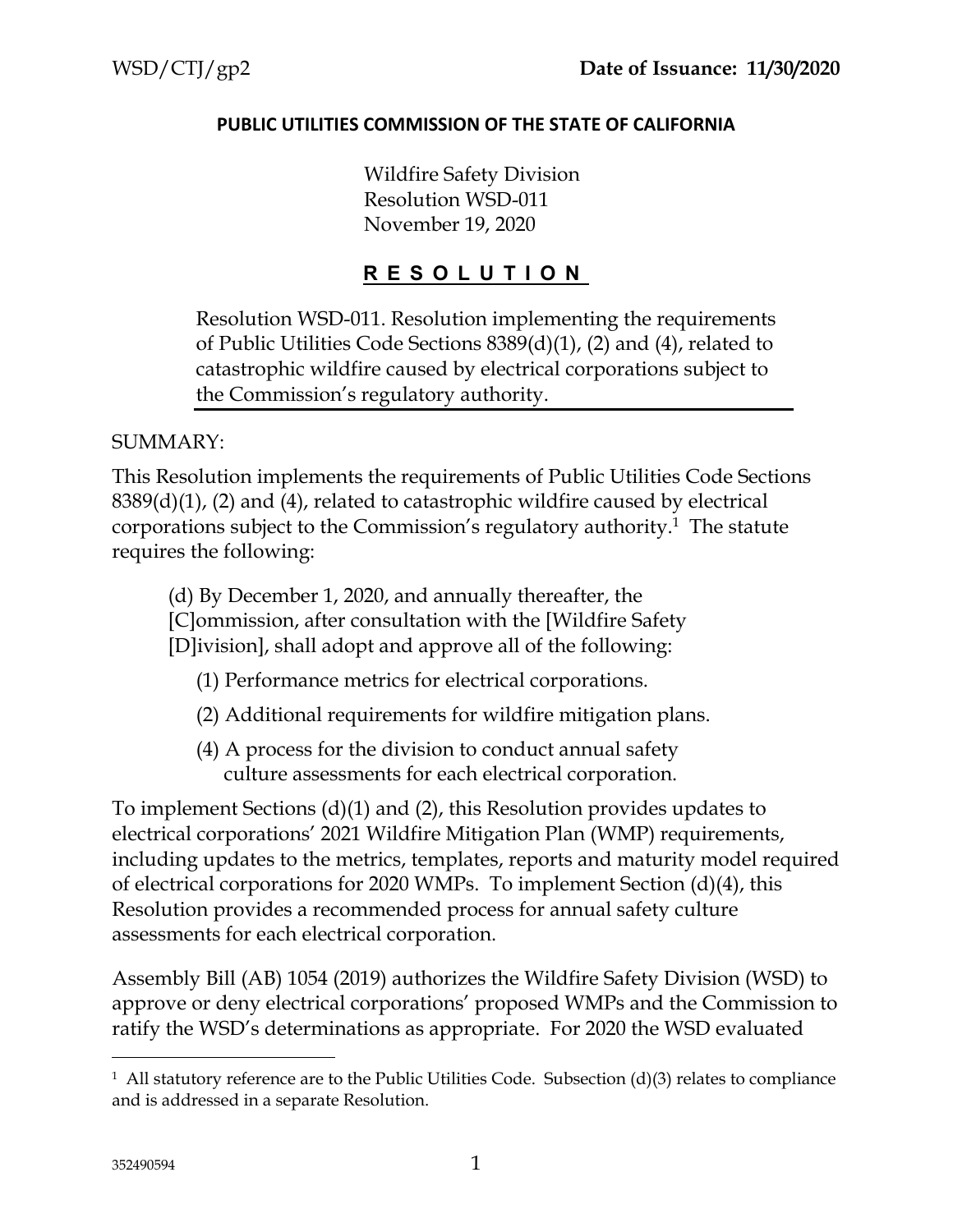#### **PUBLIC UTILITIES COMMISSION OF THE STATE OF CALIFORNIA**

Wildfire Safety Division Resolution WSD-011 November 19, 2020

#### **R E S O L U T I O N**

Resolution WSD-011. Resolution implementing the requirements of Public Utilities Code Sections 8389(d)(1), (2) and (4), related to catastrophic wildfire caused by electrical corporations subject to the Commission's regulatory authority.

#### SUMMARY:

This Resolution implements the requirements of Public Utilities Code Sections  $8389(d)(1)$ , (2) and (4), related to catastrophic wildfire caused by electrical corporations subject to the Commission's regulatory authority.<sup>1</sup> The statute requires the following:

(d) By December 1, 2020, and annually thereafter, the [C]ommission, after consultation with the [Wildfire Safety [D]ivision], shall adopt and approve all of the following:

(1) Performance metrics for electrical corporations.

- (2) Additional requirements for wildfire mitigation plans.
- (4) A process for the division to conduct annual safety culture assessments for each electrical corporation.

To implement Sections (d)(1) and (2), this Resolution provides updates to electrical corporations' 2021 Wildfire Mitigation Plan (WMP) requirements, including updates to the metrics, templates, reports and maturity model required of electrical corporations for 2020 WMPs. To implement Section (d)(4), this Resolution provides a recommended process for annual safety culture assessments for each electrical corporation.

Assembly Bill (AB) 1054 (2019) authorizes the Wildfire Safety Division (WSD) to approve or deny electrical corporations' proposed WMPs and the Commission to ratify the WSD's determinations as appropriate. For 2020 the WSD evaluated

<sup>&</sup>lt;sup>1</sup> All statutory reference are to the Public Utilities Code. Subsection (d)(3) relates to compliance and is addressed in a separate Resolution.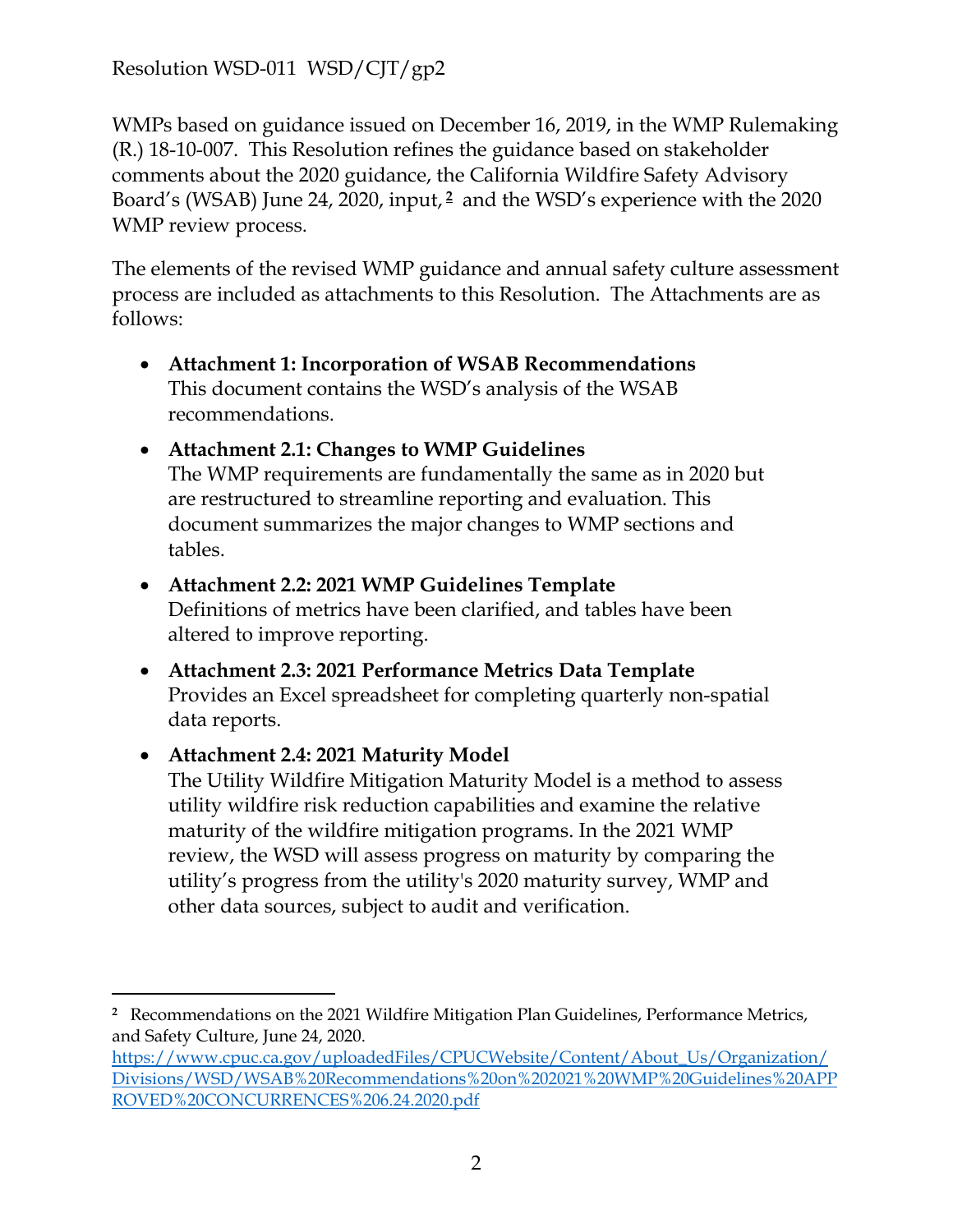WMPs based on guidance issued on December 16, 2019, in the WMP Rulemaking (R.) 18-10-007. This Resolution refines the guidance based on stakeholder comments about the 2020 guidance, the California Wildfire Safety Advisory Board's (WSAB) June 24, 2020, input, **<sup>2</sup>** and the WSD's experience with the 2020 WMP review process.

The elements of the revised WMP guidance and annual safety culture assessment process are included as attachments to this Resolution. The Attachments are as follows:

- **Attachment 1: Incorporation of WSAB Recommendations**  This document contains the WSD's analysis of the WSAB recommendations.
- **Attachment 2.1: Changes to WMP Guidelines**  The WMP requirements are fundamentally the same as in 2020 but are restructured to streamline reporting and evaluation. This document summarizes the major changes to WMP sections and tables.

#### **Attachment 2.2: 2021 WMP Guidelines Template**

Definitions of metrics have been clarified, and tables have been altered to improve reporting.

 **Attachment 2.3: 2021 Performance Metrics Data Template**  Provides an Excel spreadsheet for completing quarterly non-spatial data reports.

#### **Attachment 2.4: 2021 Maturity Model**

The Utility Wildfire Mitigation Maturity Model is a method to assess utility wildfire risk reduction capabilities and examine the relative maturity of the wildfire mitigation programs. In the 2021 WMP review, the WSD will assess progress on maturity by comparing the utility's progress from the utility's 2020 maturity survey, WMP and other data sources, subject to audit and verification.

**<sup>2</sup>** Recommendations on the 2021 Wildfire Mitigation Plan Guidelines, Performance Metrics, and Safety Culture, June 24, 2020.

https://www.cpuc.ca.gov/uploadedFiles/CPUCWebsite/Content/About\_Us/Organization/ [Divisions/WSD/WSAB%20Recommendations%20on%202021%20WMP%20Guidelines%20APP](https://www.cpuc.ca.gov/uploadedFiles/CPUCWebsite/Content/About_Us/Organization/%20Divisions/WSD/WSAB%20Recommendations%20on%202021%20WMP%20Guidelines%20APP%20ROVED%20CONCURRENCES%206.24.2020.pdf) ROVED%20CONCURRENCES%206.24.2020.pdf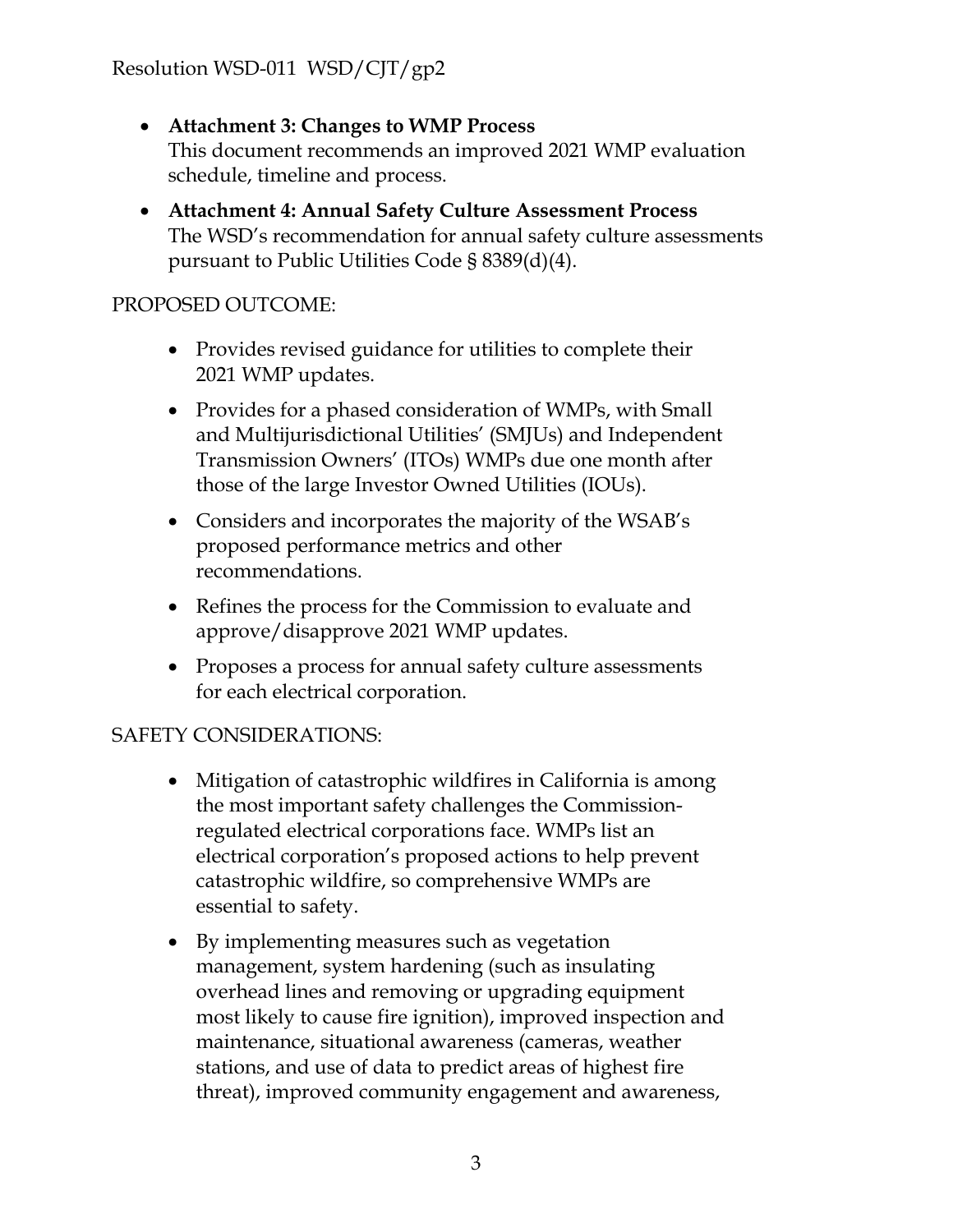- **Attachment 3: Changes to WMP Process**  This document recommends an improved 2021 WMP evaluation schedule, timeline and process.
- **Attachment 4: Annual Safety Culture Assessment Process**  The WSD's recommendation for annual safety culture assessments pursuant to Public Utilities Code § 8389(d)(4).

#### PROPOSED OUTCOME:

- Provides revised guidance for utilities to complete their 2021 WMP updates.
- Provides for a phased consideration of WMPs, with Small and Multijurisdictional Utilities' (SMJUs) and Independent Transmission Owners' (ITOs) WMPs due one month after those of the large Investor Owned Utilities (IOUs).
- Considers and incorporates the majority of the WSAB's proposed performance metrics and other recommendations.
- Refines the process for the Commission to evaluate and approve/disapprove 2021 WMP updates.
- Proposes a process for annual safety culture assessments for each electrical corporation.

#### SAFETY CONSIDERATIONS:

- Mitigation of catastrophic wildfires in California is among the most important safety challenges the Commissionregulated electrical corporations face. WMPs list an electrical corporation's proposed actions to help prevent catastrophic wildfire, so comprehensive WMPs are essential to safety.
- By implementing measures such as vegetation management, system hardening (such as insulating overhead lines and removing or upgrading equipment most likely to cause fire ignition), improved inspection and maintenance, situational awareness (cameras, weather stations, and use of data to predict areas of highest fire threat), improved community engagement and awareness,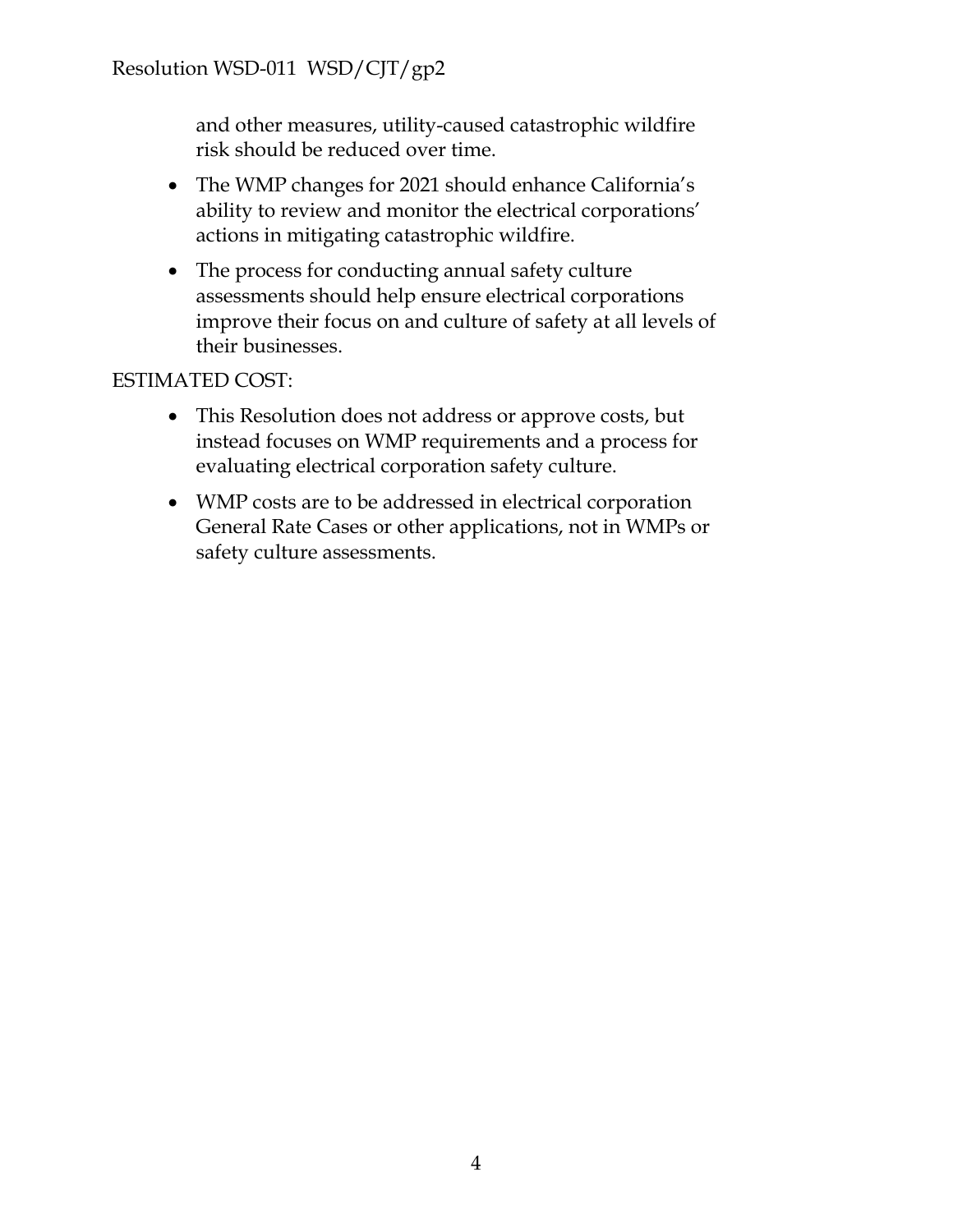and other measures, utility-caused catastrophic wildfire risk should be reduced over time.

- The WMP changes for 2021 should enhance California's ability to review and monitor the electrical corporations' actions in mitigating catastrophic wildfire.
- The process for conducting annual safety culture assessments should help ensure electrical corporations improve their focus on and culture of safety at all levels of their businesses.

#### ESTIMATED COST:

- This Resolution does not address or approve costs, but instead focuses on WMP requirements and a process for evaluating electrical corporation safety culture.
- WMP costs are to be addressed in electrical corporation General Rate Cases or other applications, not in WMPs or safety culture assessments.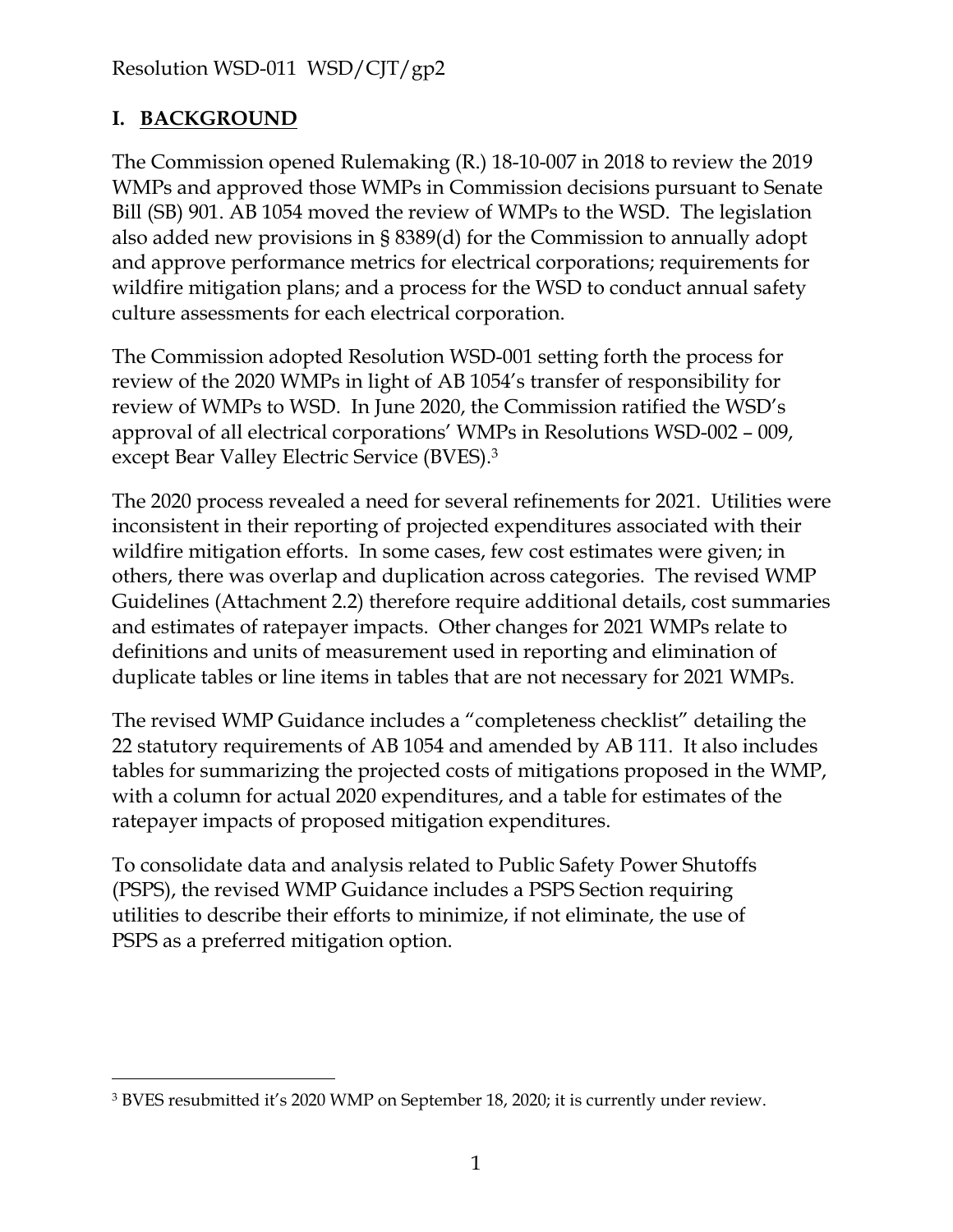#### **I. BACKGROUND**

The Commission opened Rulemaking (R.) 18-10-007 in 2018 to review the 2019 WMPs and approved those WMPs in Commission decisions pursuant to Senate Bill (SB) 901. AB 1054 moved the review of WMPs to the WSD. The legislation also added new provisions in § 8389(d) for the Commission to annually adopt and approve performance metrics for electrical corporations; requirements for wildfire mitigation plans; and a process for the WSD to conduct annual safety culture assessments for each electrical corporation.

The Commission adopted Resolution WSD-001 setting forth the process for review of the 2020 WMPs in light of AB 1054's transfer of responsibility for review of WMPs to WSD. In June 2020, the Commission ratified the WSD's approval of all electrical corporations' WMPs in Resolutions WSD-002 – 009, except Bear Valley Electric Service (BVES).<sup>3</sup>

The 2020 process revealed a need for several refinements for 2021. Utilities were inconsistent in their reporting of projected expenditures associated with their wildfire mitigation efforts. In some cases, few cost estimates were given; in others, there was overlap and duplication across categories. The revised WMP Guidelines (Attachment 2.2) therefore require additional details, cost summaries and estimates of ratepayer impacts. Other changes for 2021 WMPs relate to definitions and units of measurement used in reporting and elimination of duplicate tables or line items in tables that are not necessary for 2021 WMPs.

The revised WMP Guidance includes a "completeness checklist" detailing the 22 statutory requirements of AB 1054 and amended by AB 111. It also includes tables for summarizing the projected costs of mitigations proposed in the WMP, with a column for actual 2020 expenditures, and a table for estimates of the ratepayer impacts of proposed mitigation expenditures.

To consolidate data and analysis related to Public Safety Power Shutoffs (PSPS), the revised WMP Guidance includes a PSPS Section requiring utilities to describe their efforts to minimize, if not eliminate, the use of PSPS as a preferred mitigation option.

<sup>3</sup> BVES resubmitted it's 2020 WMP on September 18, 2020; it is currently under review.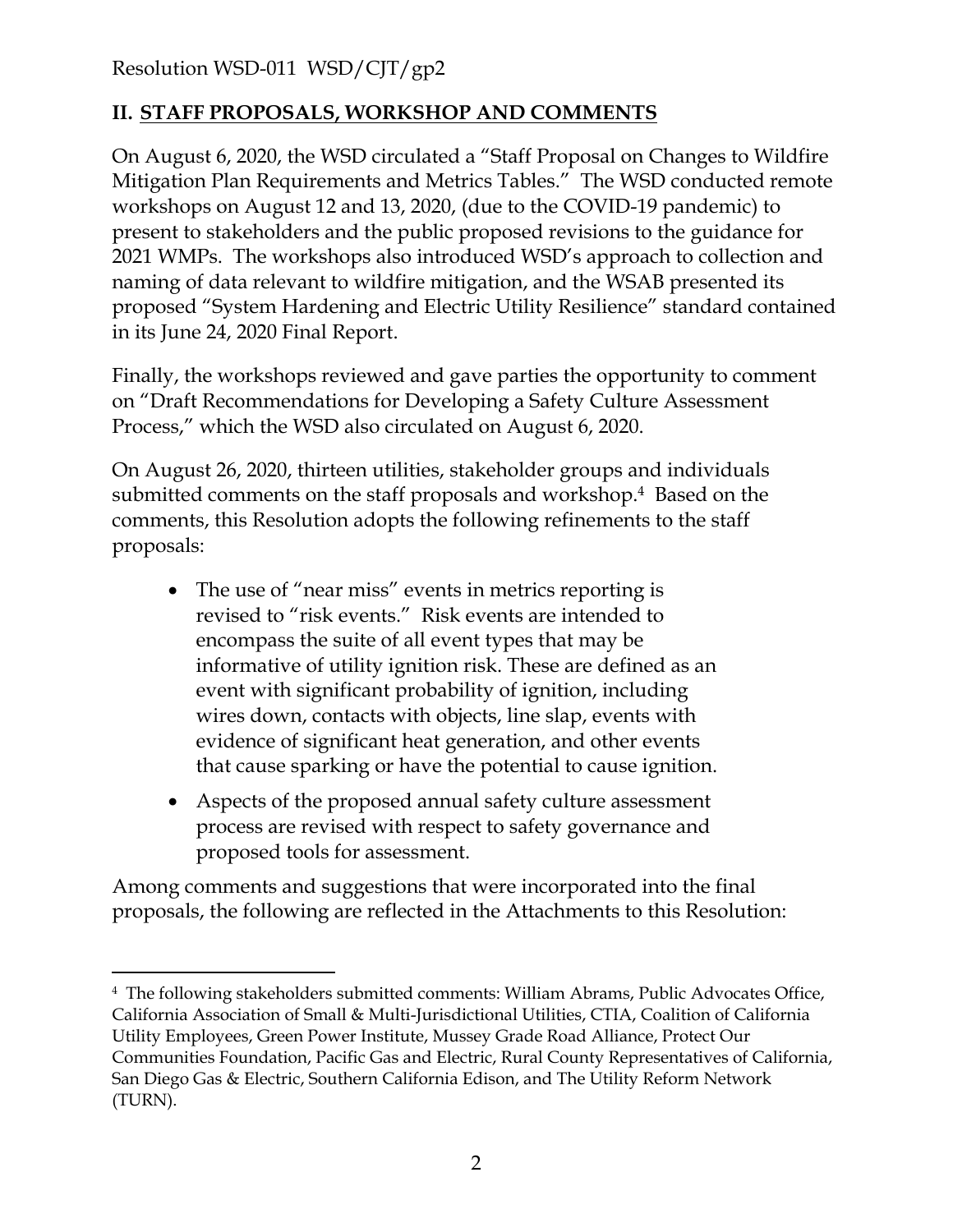#### **II. STAFF PROPOSALS, WORKSHOP AND COMMENTS**

On August 6, 2020, the WSD circulated a "Staff Proposal on Changes to Wildfire Mitigation Plan Requirements and Metrics Tables." The WSD conducted remote workshops on August 12 and 13, 2020, (due to the COVID-19 pandemic) to present to stakeholders and the public proposed revisions to the guidance for 2021 WMPs. The workshops also introduced WSD's approach to collection and naming of data relevant to wildfire mitigation, and the WSAB presented its proposed "System Hardening and Electric Utility Resilience" standard contained in its June 24, 2020 Final Report.

Finally, the workshops reviewed and gave parties the opportunity to comment on "Draft Recommendations for Developing a Safety Culture Assessment Process," which the WSD also circulated on August 6, 2020.

On August 26, 2020, thirteen utilities, stakeholder groups and individuals submitted comments on the staff proposals and workshop.<sup>4</sup> Based on the comments, this Resolution adopts the following refinements to the staff proposals:

- The use of "near miss" events in metrics reporting is revised to "risk events." Risk events are intended to encompass the suite of all event types that may be informative of utility ignition risk. These are defined as an event with significant probability of ignition, including wires down, contacts with objects, line slap, events with evidence of significant heat generation, and other events that cause sparking or have the potential to cause ignition.
- Aspects of the proposed annual safety culture assessment process are revised with respect to safety governance and proposed tools for assessment.

Among comments and suggestions that were incorporated into the final proposals, the following are reflected in the Attachments to this Resolution:

<sup>4</sup> The following stakeholders submitted comments: William Abrams, Public Advocates Office, California Association of Small & Multi-Jurisdictional Utilities, CTIA, Coalition of California Utility Employees, Green Power Institute, Mussey Grade Road Alliance, Protect Our Communities Foundation, Pacific Gas and Electric, Rural County Representatives of California, San Diego Gas & Electric, Southern California Edison, and The Utility Reform Network (TURN).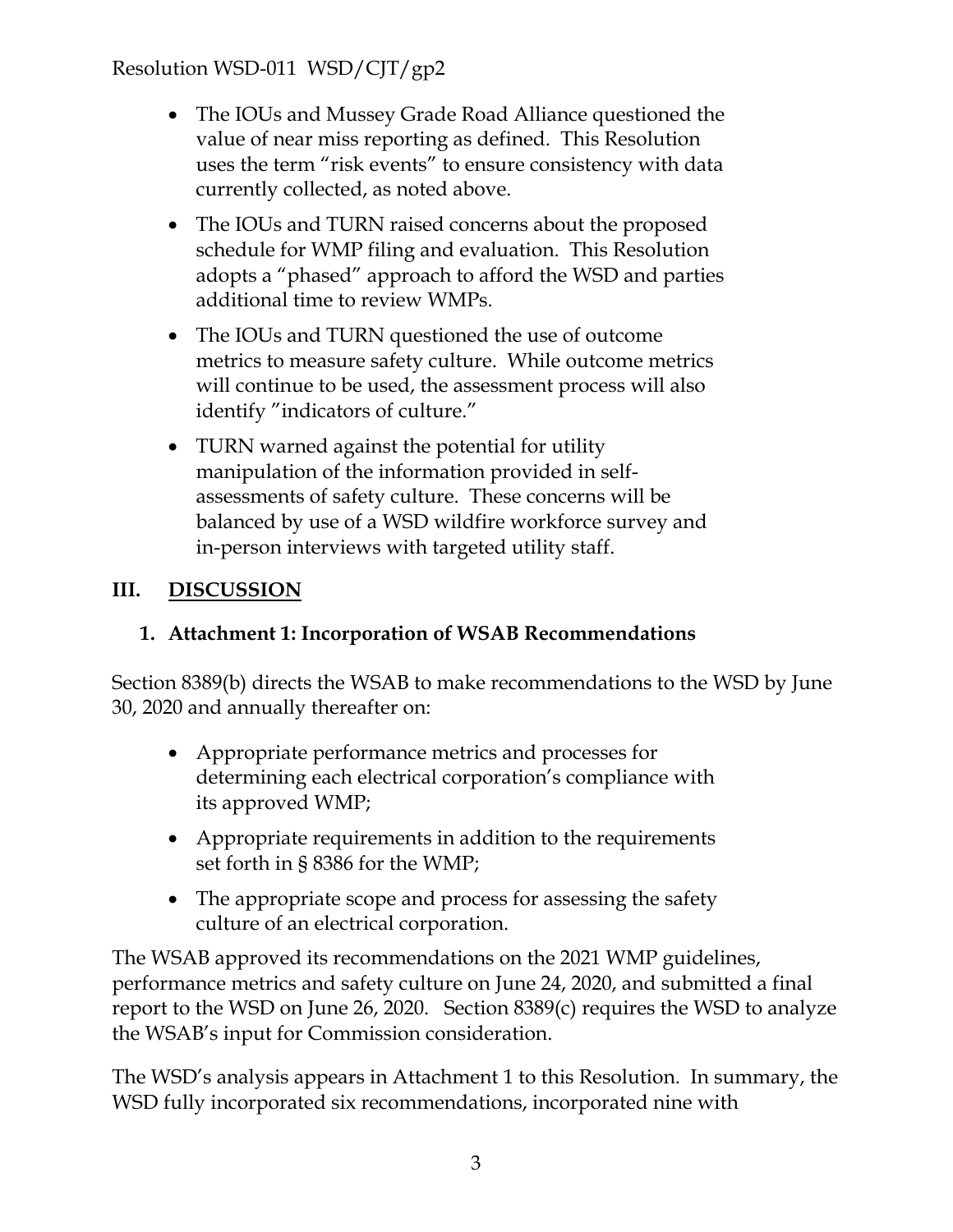- The IOUs and Mussey Grade Road Alliance questioned the value of near miss reporting as defined. This Resolution uses the term "risk events" to ensure consistency with data currently collected, as noted above.
- The IOUs and TURN raised concerns about the proposed schedule for WMP filing and evaluation. This Resolution adopts a "phased" approach to afford the WSD and parties additional time to review WMPs.
- The IOUs and TURN questioned the use of outcome metrics to measure safety culture. While outcome metrics will continue to be used, the assessment process will also identify "indicators of culture."
- TURN warned against the potential for utility manipulation of the information provided in selfassessments of safety culture. These concerns will be balanced by use of a WSD wildfire workforce survey and in-person interviews with targeted utility staff.

### **III. DISCUSSION**

#### **1. Attachment 1: Incorporation of WSAB Recommendations**

Section 8389(b) directs the WSAB to make recommendations to the WSD by June 30, 2020 and annually thereafter on:

- Appropriate performance metrics and processes for determining each electrical corporation's compliance with its approved WMP;
- Appropriate requirements in addition to the requirements set forth in § 8386 for the WMP;
- The appropriate scope and process for assessing the safety culture of an electrical corporation.

The WSAB approved its recommendations on the 2021 WMP guidelines, performance metrics and safety culture on June 24, 2020, and submitted a final report to the WSD on June 26, 2020. Section 8389(c) requires the WSD to analyze the WSAB's input for Commission consideration.

The WSD's analysis appears in Attachment 1 to this Resolution. In summary, the WSD fully incorporated six recommendations, incorporated nine with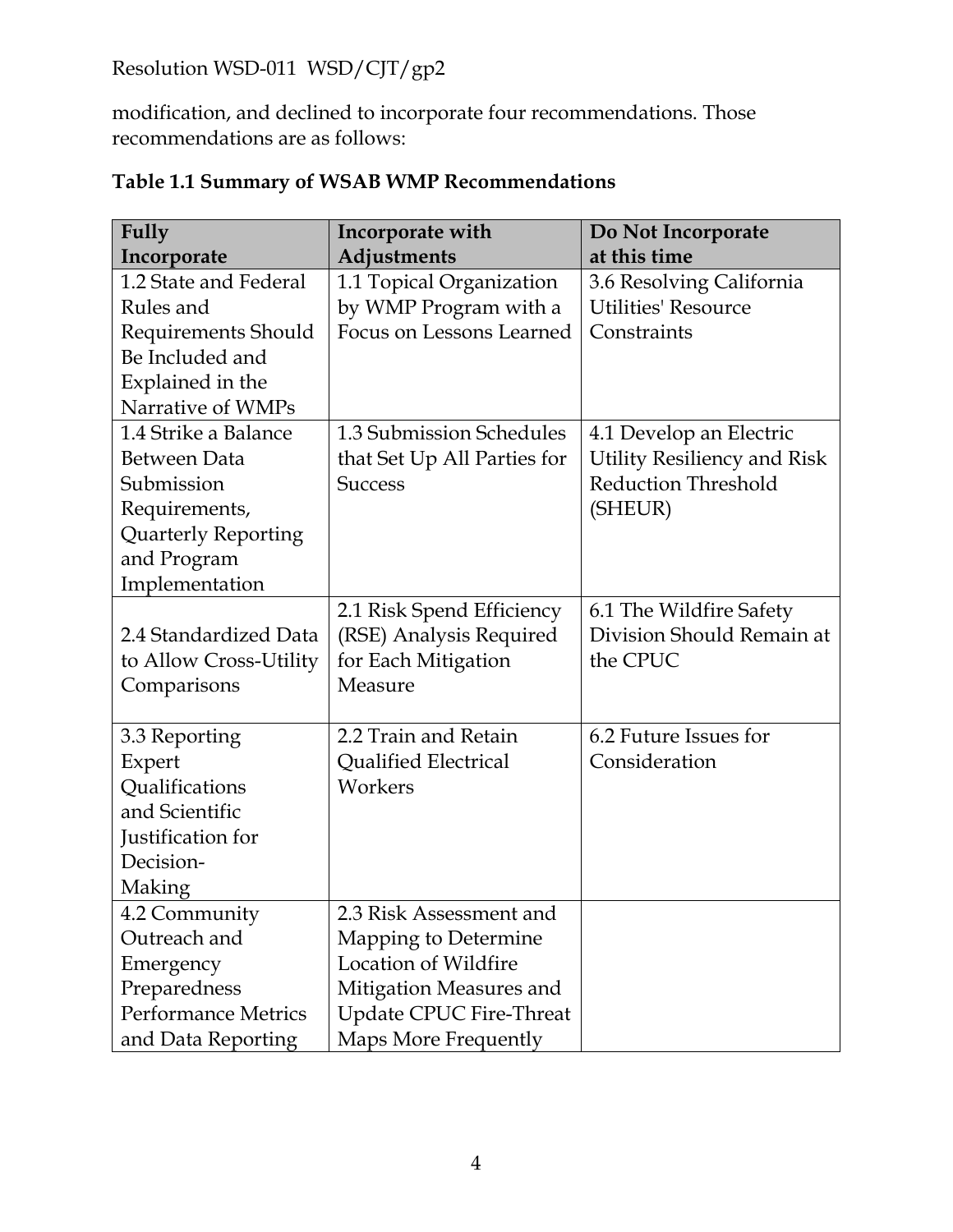modification, and declined to incorporate four recommendations. Those recommendations are as follows:

| <b>Fully</b>               | Incorporate with            | Do Not Incorporate          |
|----------------------------|-----------------------------|-----------------------------|
| Incorporate                | Adjustments                 | at this time                |
| 1.2 State and Federal      | 1.1 Topical Organization    | 3.6 Resolving California    |
| Rules and                  | by WMP Program with a       | <b>Utilities' Resource</b>  |
| Requirements Should        | Focus on Lessons Learned    | Constraints                 |
| Be Included and            |                             |                             |
| Explained in the           |                             |                             |
| Narrative of WMPs          |                             |                             |
| 1.4 Strike a Balance       | 1.3 Submission Schedules    | 4.1 Develop an Electric     |
| Between Data               | that Set Up All Parties for | Utility Resiliency and Risk |
| Submission                 | <b>Success</b>              | <b>Reduction Threshold</b>  |
| Requirements,              |                             | (SHEUR)                     |
| Quarterly Reporting        |                             |                             |
| and Program                |                             |                             |
| Implementation             |                             |                             |
|                            | 2.1 Risk Spend Efficiency   | 6.1 The Wildfire Safety     |
| 2.4 Standardized Data      | (RSE) Analysis Required     | Division Should Remain at   |
| to Allow Cross-Utility     | for Each Mitigation         | the CPUC                    |
| Comparisons                | Measure                     |                             |
|                            |                             |                             |
| 3.3 Reporting              | 2.2 Train and Retain        | 6.2 Future Issues for       |
| Expert                     | <b>Qualified Electrical</b> | Consideration               |
| Qualifications             | Workers                     |                             |
| and Scientific             |                             |                             |
| Justification for          |                             |                             |
| Decision-                  |                             |                             |
| Making                     |                             |                             |
| 4.2 Community              | 2.3 Risk Assessment and     |                             |
| Outreach and               | Mapping to Determine        |                             |
| Emergency                  | <b>Location of Wildfire</b> |                             |
| Preparedness               | Mitigation Measures and     |                             |
| <b>Performance Metrics</b> | Update CPUC Fire-Threat     |                             |
| and Data Reporting         | Maps More Frequently        |                             |

# **Table 1.1 Summary of WSAB WMP Recommendations**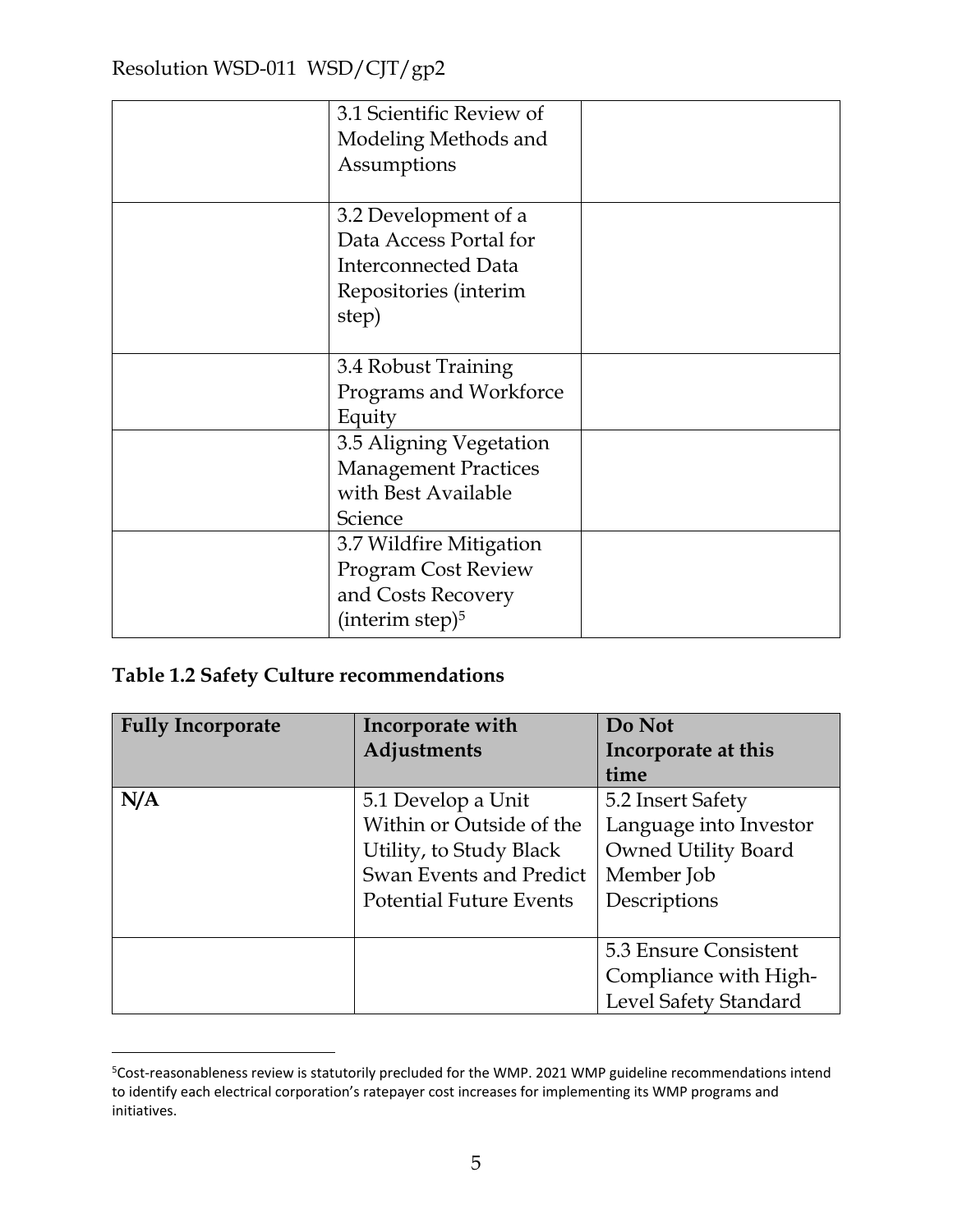| 3.1 Scientific Review of<br>Modeling Methods and<br>Assumptions                                                |  |
|----------------------------------------------------------------------------------------------------------------|--|
| 3.2 Development of a<br>Data Access Portal for<br><b>Interconnected Data</b><br>Repositories (interim<br>step) |  |
| 3.4 Robust Training<br>Programs and Workforce<br>Equity                                                        |  |
| 3.5 Aligning Vegetation<br><b>Management Practices</b><br>with Best Available<br>Science                       |  |
| 3.7 Wildfire Mitigation<br><b>Program Cost Review</b><br>and Costs Recovery<br>(interim step) $5$              |  |

#### **Table 1.2 Safety Culture recommendations**

| <b>Fully Incorporate</b> | Incorporate with               | Do Not                 |
|--------------------------|--------------------------------|------------------------|
|                          | Adjustments                    | Incorporate at this    |
|                          |                                | time                   |
| N/A                      | 5.1 Develop a Unit             | 5.2 Insert Safety      |
|                          | Within or Outside of the       | Language into Investor |
|                          | Utility, to Study Black        | Owned Utility Board    |
|                          | Swan Events and Predict        | Member Job             |
|                          | <b>Potential Future Events</b> | Descriptions           |
|                          |                                |                        |
|                          |                                | 5.3 Ensure Consistent  |
|                          |                                | Compliance with High-  |
|                          |                                | Level Safety Standard  |

<sup>5</sup>Cost-reasonableness review is statutorily precluded for the WMP. 2021 WMP guideline recommendations intend to identify each electrical corporation's ratepayer cost increases for implementing its WMP programs and initiatives.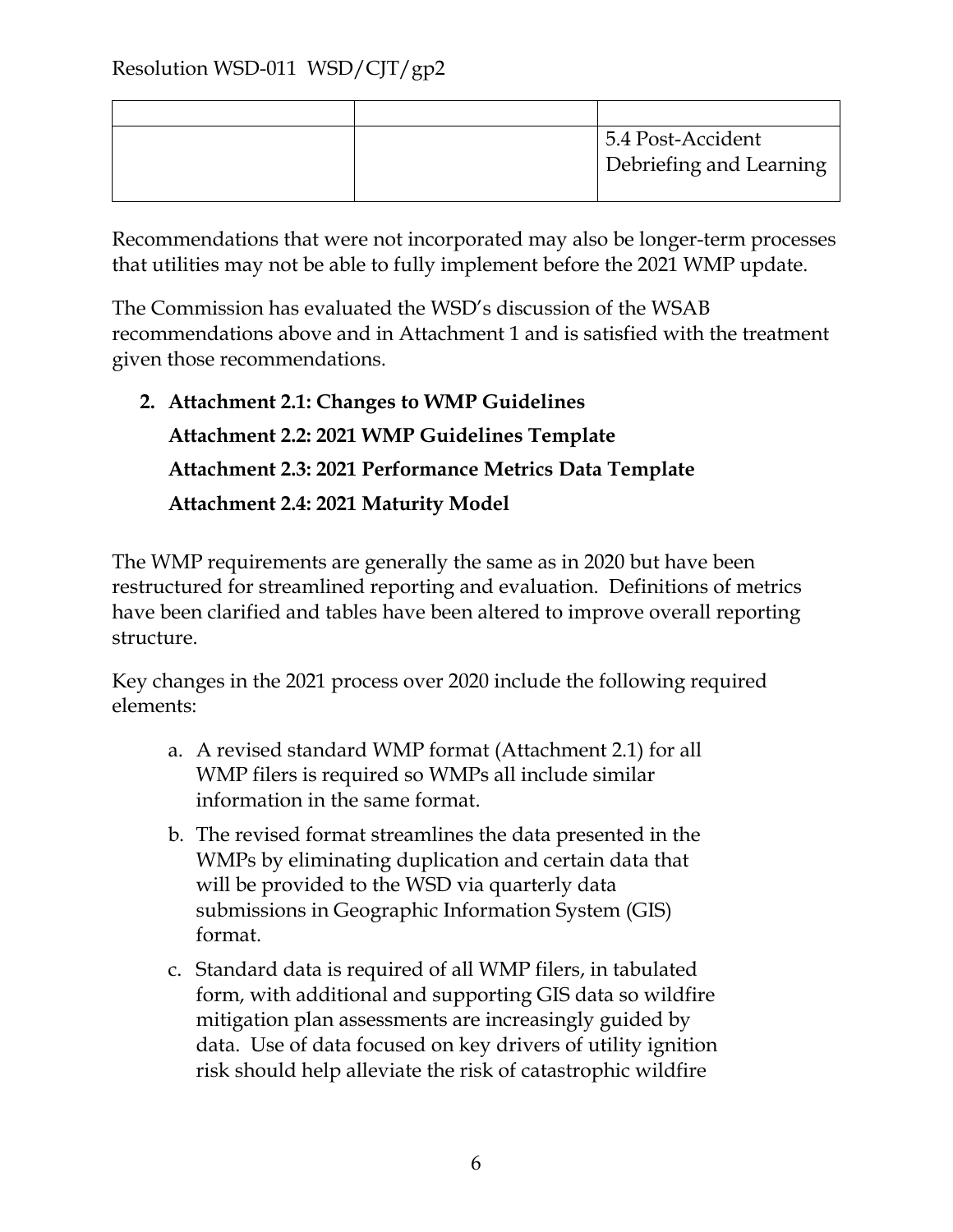|  | 5.4 Post-Accident<br>Debriefing and Learning |
|--|----------------------------------------------|

Recommendations that were not incorporated may also be longer-term processes that utilities may not be able to fully implement before the 2021 WMP update.

The Commission has evaluated the WSD's discussion of the WSAB recommendations above and in Attachment 1 and is satisfied with the treatment given those recommendations.

**2. Attachment 2.1: Changes to WMP Guidelines Attachment 2.2: 2021 WMP Guidelines Template Attachment 2.3: 2021 Performance Metrics Data Template Attachment 2.4: 2021 Maturity Model** 

The WMP requirements are generally the same as in 2020 but have been restructured for streamlined reporting and evaluation. Definitions of metrics have been clarified and tables have been altered to improve overall reporting structure.

Key changes in the 2021 process over 2020 include the following required elements:

- a. A revised standard WMP format (Attachment 2.1) for all WMP filers is required so WMPs all include similar information in the same format.
- b. The revised format streamlines the data presented in the WMPs by eliminating duplication and certain data that will be provided to the WSD via quarterly data submissions in Geographic Information System (GIS) format.
- c. Standard data is required of all WMP filers, in tabulated form, with additional and supporting GIS data so wildfire mitigation plan assessments are increasingly guided by data. Use of data focused on key drivers of utility ignition risk should help alleviate the risk of catastrophic wildfire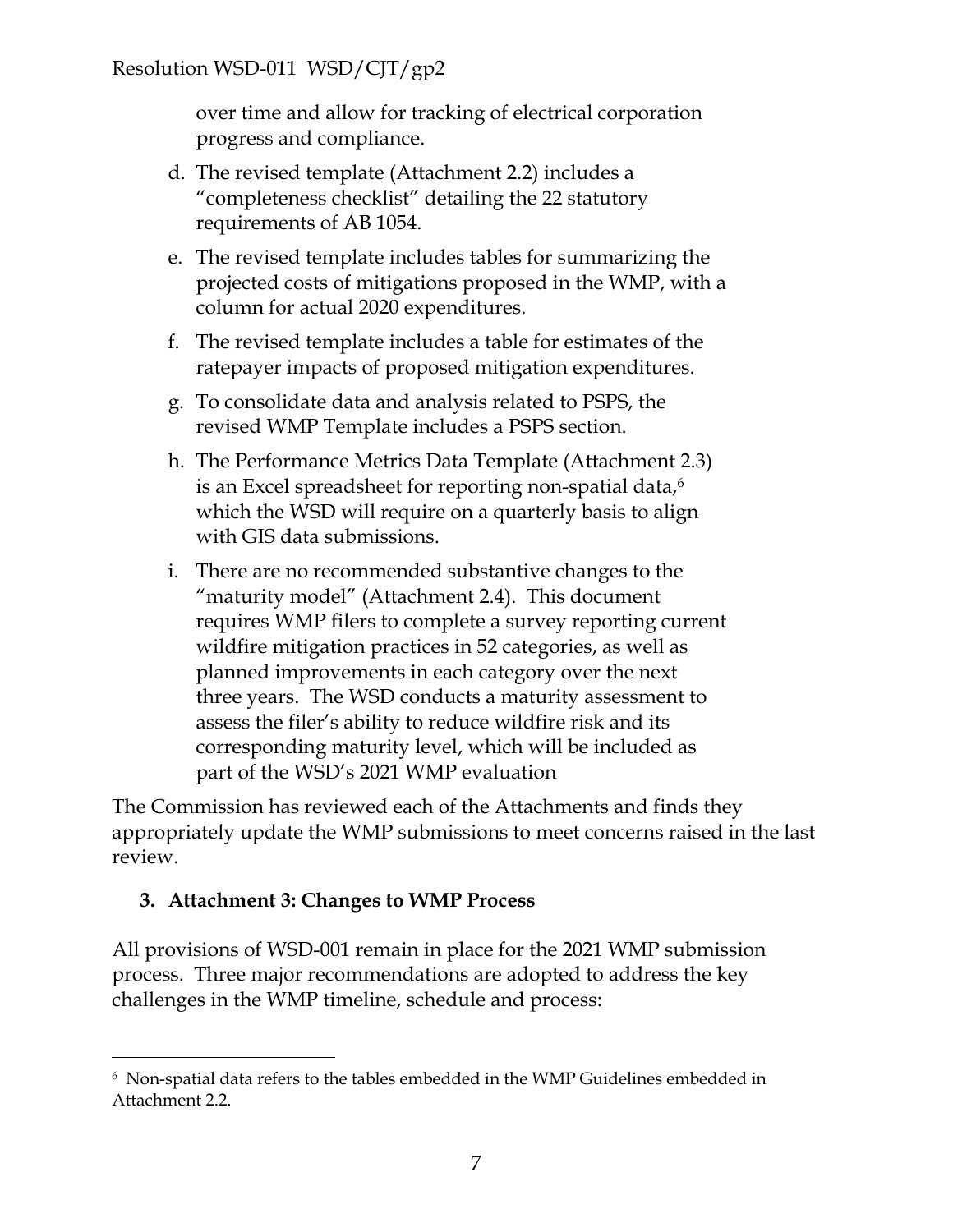over time and allow for tracking of electrical corporation progress and compliance.

- d. The revised template (Attachment 2.2) includes a "completeness checklist" detailing the 22 statutory requirements of AB 1054.
- e. The revised template includes tables for summarizing the projected costs of mitigations proposed in the WMP, with a column for actual 2020 expenditures.
- f. The revised template includes a table for estimates of the ratepayer impacts of proposed mitigation expenditures.
- g. To consolidate data and analysis related to PSPS, the revised WMP Template includes a PSPS section.
- h. The Performance Metrics Data Template (Attachment 2.3) is an Excel spreadsheet for reporting non-spatial data,<sup>6</sup> which the WSD will require on a quarterly basis to align with GIS data submissions.
- i. There are no recommended substantive changes to the "maturity model" (Attachment 2.4). This document requires WMP filers to complete a survey reporting current wildfire mitigation practices in 52 categories, as well as planned improvements in each category over the next three years. The WSD conducts a maturity assessment to assess the filer's ability to reduce wildfire risk and its corresponding maturity level, which will be included as part of the WSD's 2021 WMP evaluation

The Commission has reviewed each of the Attachments and finds they appropriately update the WMP submissions to meet concerns raised in the last review.

#### **3. Attachment 3: Changes to WMP Process**

All provisions of WSD-001 remain in place for the 2021 WMP submission process. Three major recommendations are adopted to address the key challenges in the WMP timeline, schedule and process:

<sup>6</sup> Non-spatial data refers to the tables embedded in the WMP Guidelines embedded in Attachment 2.2.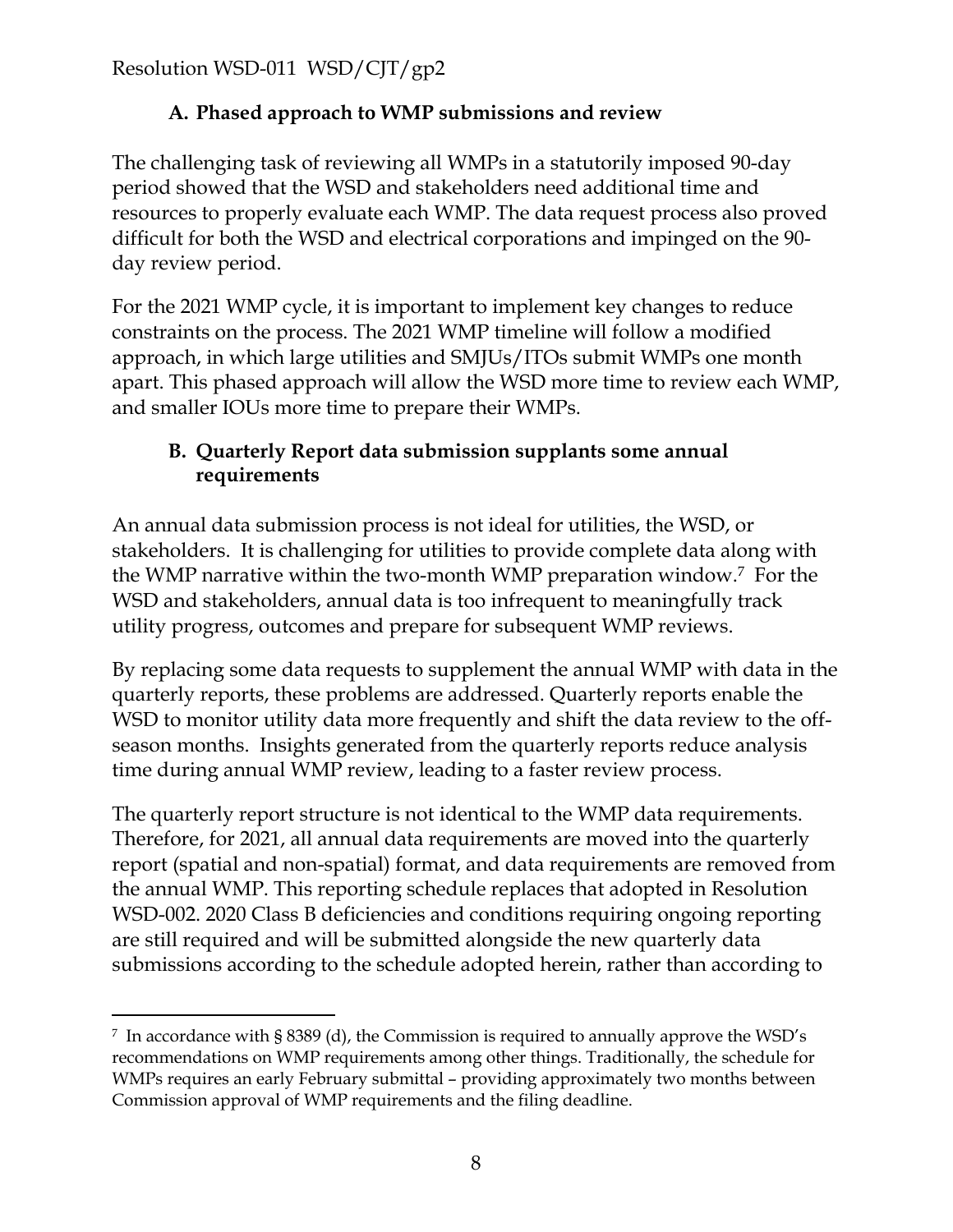### **A. Phased approach to WMP submissions and review**

The challenging task of reviewing all WMPs in a statutorily imposed 90-day period showed that the WSD and stakeholders need additional time and resources to properly evaluate each WMP. The data request process also proved difficult for both the WSD and electrical corporations and impinged on the 90 day review period.

For the 2021 WMP cycle, it is important to implement key changes to reduce constraints on the process. The 2021 WMP timeline will follow a modified approach, in which large utilities and SMJUs/ITOs submit WMPs one month apart. This phased approach will allow the WSD more time to review each WMP, and smaller IOUs more time to prepare their WMPs.

#### **B. Quarterly Report data submission supplants some annual requirements**

An annual data submission process is not ideal for utilities, the WSD, or stakeholders. It is challenging for utilities to provide complete data along with the WMP narrative within the two-month WMP preparation window.<sup>7</sup> For the WSD and stakeholders, annual data is too infrequent to meaningfully track utility progress, outcomes and prepare for subsequent WMP reviews.

By replacing some data requests to supplement the annual WMP with data in the quarterly reports, these problems are addressed. Quarterly reports enable the WSD to monitor utility data more frequently and shift the data review to the offseason months. Insights generated from the quarterly reports reduce analysis time during annual WMP review, leading to a faster review process.

The quarterly report structure is not identical to the WMP data requirements. Therefore, for 2021, all annual data requirements are moved into the quarterly report (spatial and non-spatial) format, and data requirements are removed from the annual WMP. This reporting schedule replaces that adopted in Resolution WSD-002. 2020 Class B deficiencies and conditions requiring ongoing reporting are still required and will be submitted alongside the new quarterly data submissions according to the schedule adopted herein, rather than according to

<sup>7</sup> In accordance with § 8389 (d), the Commission is required to annually approve the WSD's recommendations on WMP requirements among other things. Traditionally, the schedule for WMPs requires an early February submittal – providing approximately two months between Commission approval of WMP requirements and the filing deadline.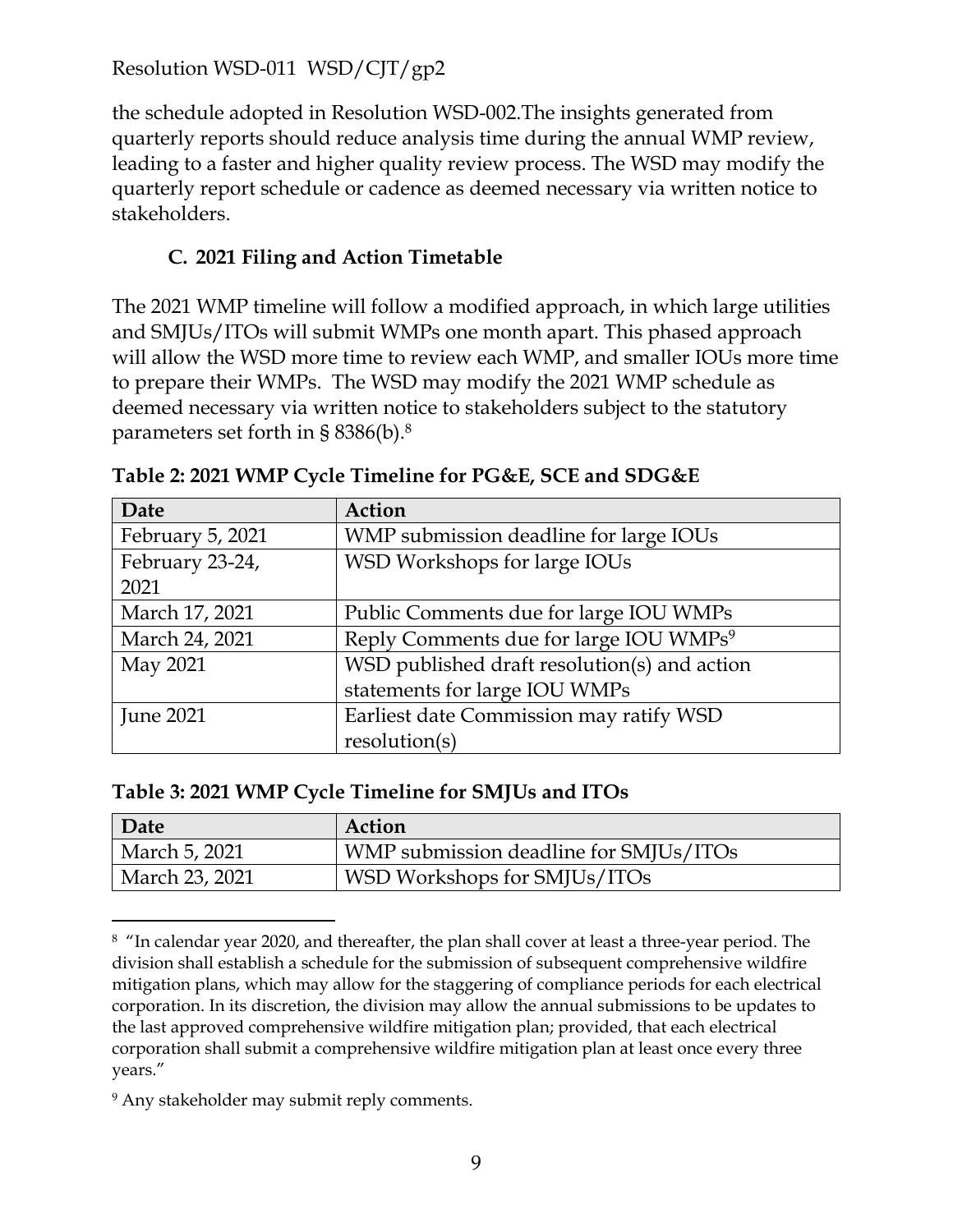the schedule adopted in Resolution WSD-002.The insights generated from quarterly reports should reduce analysis time during the annual WMP review, leading to a faster and higher quality review process. The WSD may modify the quarterly report schedule or cadence as deemed necessary via written notice to stakeholders.

#### **C. 2021 Filing and Action Timetable**

The 2021 WMP timeline will follow a modified approach, in which large utilities and SMJUs/ITOs will submit WMPs one month apart. This phased approach will allow the WSD more time to review each WMP, and smaller IOUs more time to prepare their WMPs. The WSD may modify the 2021 WMP schedule as deemed necessary via written notice to stakeholders subject to the statutory parameters set forth in § 8386(b). $8$ 

| Date             | Action                                             |
|------------------|----------------------------------------------------|
| February 5, 2021 | WMP submission deadline for large IOUs             |
| February 23-24,  | WSD Workshops for large IOUs                       |
| 2021             |                                                    |
| March 17, 2021   | Public Comments due for large IOU WMPs             |
| March 24, 2021   | Reply Comments due for large IOU WMPs <sup>9</sup> |
| May 2021         | WSD published draft resolution(s) and action       |
|                  | statements for large IOU WMPs                      |
| <b>June 2021</b> | Earliest date Commission may ratify WSD            |
|                  | resolution(s)                                      |

|  |  | Table 2: 2021 WMP Cycle Timeline for PG&E, SCE and SDG&E |
|--|--|----------------------------------------------------------|
|  |  |                                                          |

| Date           | Action                                 |
|----------------|----------------------------------------|
| March 5, 2021  | WMP submission deadline for SMJUs/ITOs |
| March 23, 2021 | WSD Workshops for SMJUs/ITOs           |

<sup>&</sup>lt;sup>8</sup> "In calendar year 2020, and thereafter, the plan shall cover at least a three-year period. The division shall establish a schedule for the submission of subsequent comprehensive wildfire mitigation plans, which may allow for the staggering of compliance periods for each electrical corporation. In its discretion, the division may allow the annual submissions to be updates to the last approved comprehensive wildfire mitigation plan; provided, that each electrical corporation shall submit a comprehensive wildfire mitigation plan at least once every three years."

<sup>&</sup>lt;sup>9</sup> Any stakeholder may submit reply comments.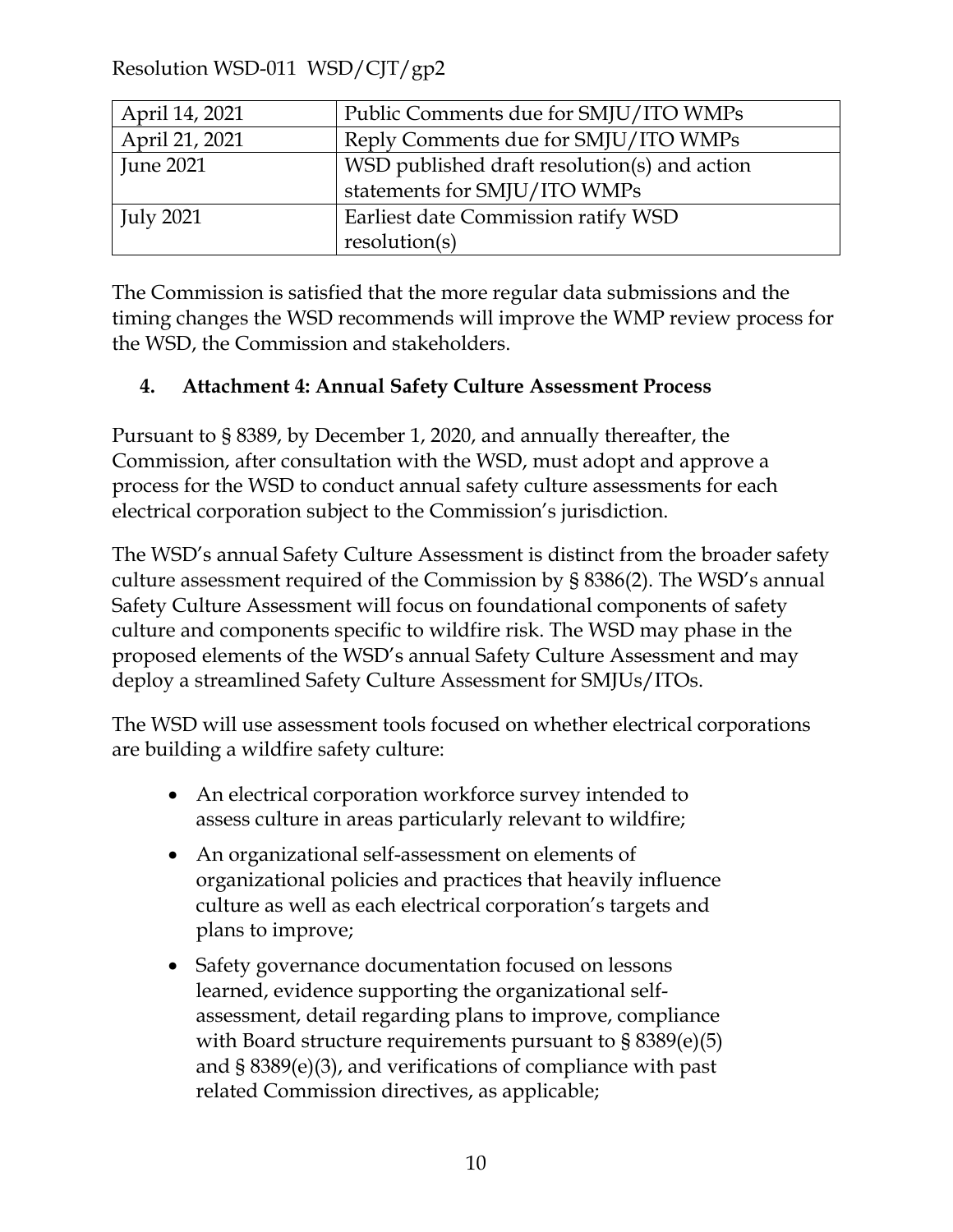| April 14, 2021   | Public Comments due for SMJU/ITO WMPs        |
|------------------|----------------------------------------------|
| April 21, 2021   | Reply Comments due for SMJU/ITO WMPs         |
| <b>June 2021</b> | WSD published draft resolution(s) and action |
|                  | statements for SMJU/ITO WMPs                 |
| July 2021        | Earliest date Commission ratify WSD          |
|                  | resolution(s)                                |

The Commission is satisfied that the more regular data submissions and the timing changes the WSD recommends will improve the WMP review process for the WSD, the Commission and stakeholders.

#### **4. Attachment 4: Annual Safety Culture Assessment Process**

Pursuant to § 8389, by December 1, 2020, and annually thereafter, the Commission, after consultation with the WSD, must adopt and approve a process for the WSD to conduct annual safety culture assessments for each electrical corporation subject to the Commission's jurisdiction.

The WSD's annual Safety Culture Assessment is distinct from the broader safety culture assessment required of the Commission by § 8386(2). The WSD's annual Safety Culture Assessment will focus on foundational components of safety culture and components specific to wildfire risk. The WSD may phase in the proposed elements of the WSD's annual Safety Culture Assessment and may deploy a streamlined Safety Culture Assessment for SMJUs/ITOs.

The WSD will use assessment tools focused on whether electrical corporations are building a wildfire safety culture:

- An electrical corporation workforce survey intended to assess culture in areas particularly relevant to wildfire;
- An organizational self-assessment on elements of organizational policies and practices that heavily influence culture as well as each electrical corporation's targets and plans to improve;
- Safety governance documentation focused on lessons learned, evidence supporting the organizational selfassessment, detail regarding plans to improve, compliance with Board structure requirements pursuant to § 8389(e)(5) and § 8389(e)(3), and verifications of compliance with past related Commission directives, as applicable;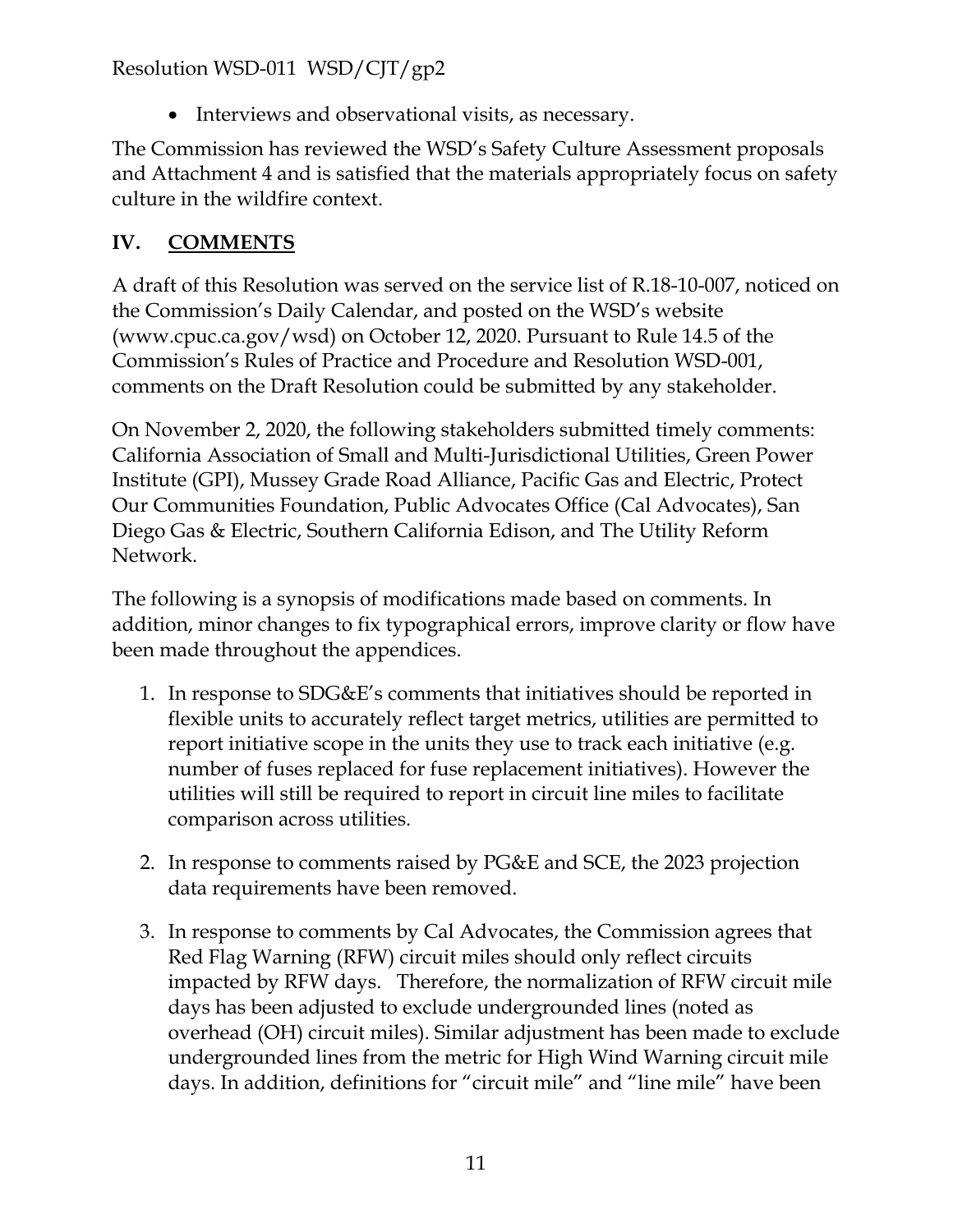• Interviews and observational visits, as necessary.

The Commission has reviewed the WSD's Safety Culture Assessment proposals and Attachment 4 and is satisfied that the materials appropriately focus on safety culture in the wildfire context.

### **IV. COMMENTS**

A draft of this Resolution was served on the service list of R.18-10-007, noticed on the Commission's Daily Calendar, and posted on the WSD's website [\(www.cpuc.ca.gov/wsd\)](http://www.cpuc.ca.gov/wsd) on October 12, 2020. Pursuant to Rule 14.5 of the Commission's Rules of Practice and Procedure and Resolution WSD-001, comments on the Draft Resolution could be submitted by any stakeholder.

On November 2, 2020, the following stakeholders submitted timely comments: California Association of Small and Multi-Jurisdictional Utilities, Green Power Institute (GPI), Mussey Grade Road Alliance, Pacific Gas and Electric, Protect Our Communities Foundation, Public Advocates Office (Cal Advocates), San Diego Gas & Electric, Southern California Edison, and The Utility Reform Network.

The following is a synopsis of modifications made based on comments. In addition, minor changes to fix typographical errors, improve clarity or flow have been made throughout the appendices.

- 1. In response to SDG&E's comments that initiatives should be reported in flexible units to accurately reflect target metrics, utilities are permitted to report initiative scope in the units they use to track each initiative (e.g. number of fuses replaced for fuse replacement initiatives). However the utilities will still be required to report in circuit line miles to facilitate comparison across utilities.
- 2. In response to comments raised by PG&E and SCE, the 2023 projection data requirements have been removed.
- 3. In response to comments by Cal Advocates, the Commission agrees that Red Flag Warning (RFW) circuit miles should only reflect circuits impacted by RFW days. Therefore, the normalization of RFW circuit mile days has been adjusted to exclude undergrounded lines (noted as overhead (OH) circuit miles). Similar adjustment has been made to exclude undergrounded lines from the metric for High Wind Warning circuit mile days. In addition, definitions for "circuit mile" and "line mile" have been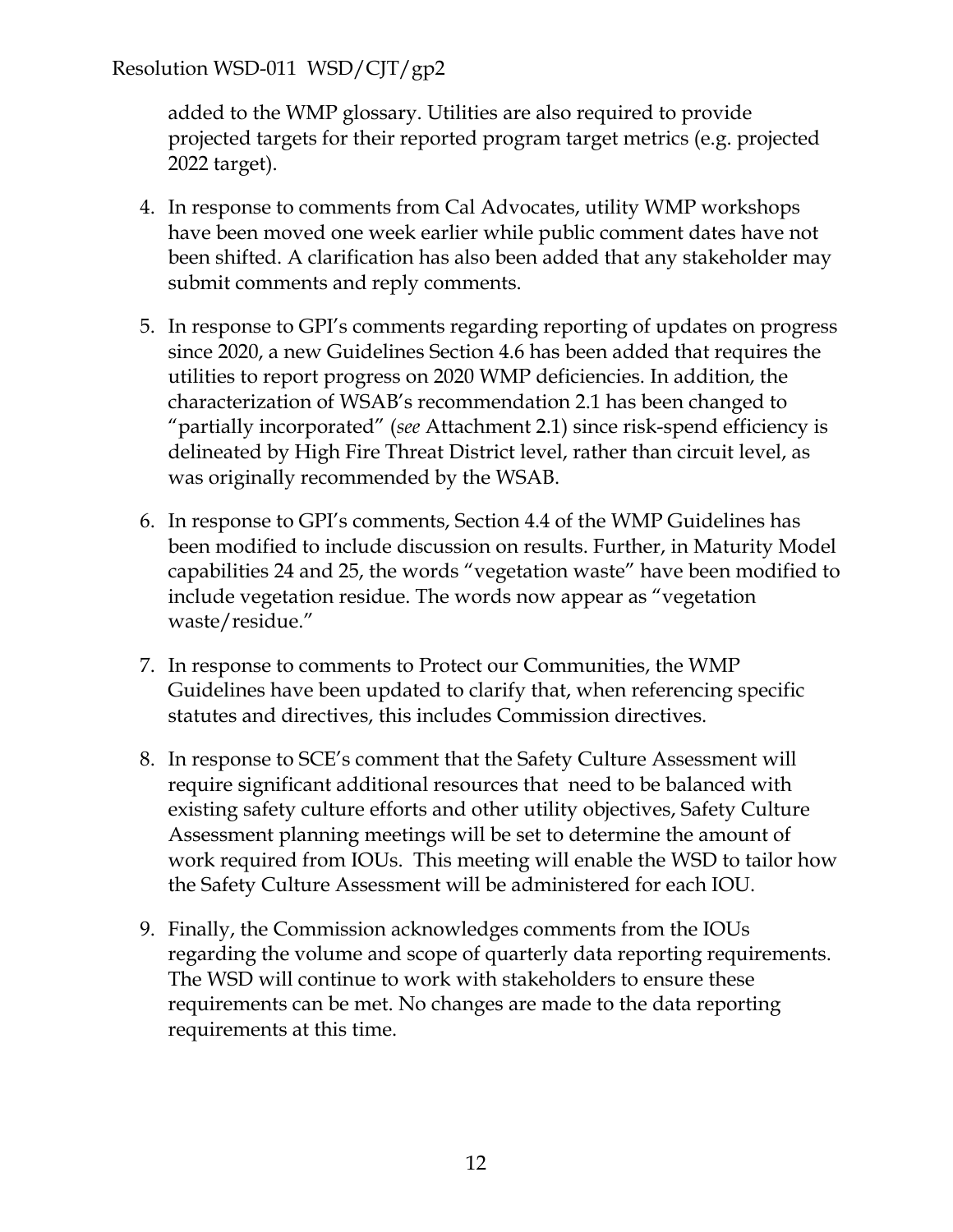added to the WMP glossary. Utilities are also required to provide projected targets for their reported program target metrics (e.g. projected 2022 target).

- 4. In response to comments from Cal Advocates, utility WMP workshops have been moved one week earlier while public comment dates have not been shifted. A clarification has also been added that any stakeholder may submit comments and reply comments.
- 5. In response to GPI's comments regarding reporting of updates on progress since 2020, a new Guidelines Section 4.6 has been added that requires the utilities to report progress on 2020 WMP deficiencies. In addition, the characterization of WSAB's recommendation 2.1 has been changed to "partially incorporated" (*see* Attachment 2.1) since risk-spend efficiency is delineated by High Fire Threat District level, rather than circuit level, as was originally recommended by the WSAB.
- 6. In response to GPI's comments, Section 4.4 of the WMP Guidelines has been modified to include discussion on results. Further, in Maturity Model capabilities 24 and 25, the words "vegetation waste" have been modified to include vegetation residue. The words now appear as "vegetation waste/residue."
- 7. In response to comments to Protect our Communities, the WMP Guidelines have been updated to clarify that, when referencing specific statutes and directives, this includes Commission directives.
- 8. In response to SCE's comment that the Safety Culture Assessment will require significant additional resources that need to be balanced with existing safety culture efforts and other utility objectives, Safety Culture Assessment planning meetings will be set to determine the amount of work required from IOUs. This meeting will enable the WSD to tailor how the Safety Culture Assessment will be administered for each IOU.
- 9. Finally, the Commission acknowledges comments from the IOUs regarding the volume and scope of quarterly data reporting requirements. The WSD will continue to work with stakeholders to ensure these requirements can be met. No changes are made to the data reporting requirements at this time.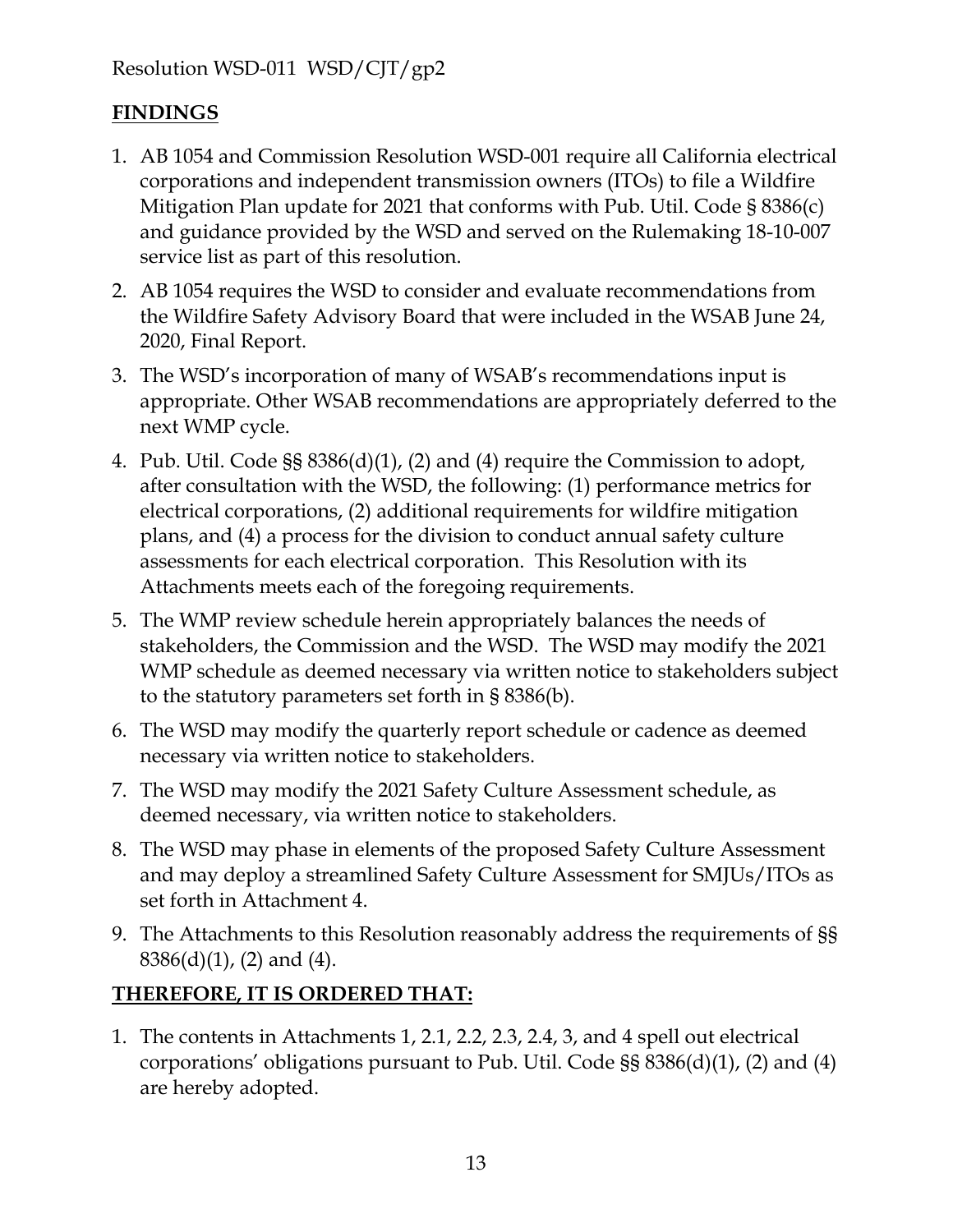## **FINDINGS**

- 1. AB 1054 and Commission Resolution WSD-001 require all California electrical corporations and independent transmission owners (ITOs) to file a Wildfire Mitigation Plan update for 2021 that conforms with Pub. Util. Code § 8386(c) and guidance provided by the WSD and served on the Rulemaking 18-10-007 service list as part of this resolution.
- 2. AB 1054 requires the WSD to consider and evaluate recommendations from the Wildfire Safety Advisory Board that were included in the WSAB June 24, 2020, Final Report.
- 3. The WSD's incorporation of many of WSAB's recommendations input is appropriate. Other WSAB recommendations are appropriately deferred to the next WMP cycle.
- 4. Pub. Util. Code §§ 8386(d)(1), (2) and (4) require the Commission to adopt, after consultation with the WSD, the following: (1) performance metrics for electrical corporations, (2) additional requirements for wildfire mitigation plans, and (4) a process for the division to conduct annual safety culture assessments for each electrical corporation. This Resolution with its Attachments meets each of the foregoing requirements.
- 5. The WMP review schedule herein appropriately balances the needs of stakeholders, the Commission and the WSD. The WSD may modify the 2021 WMP schedule as deemed necessary via written notice to stakeholders subject to the statutory parameters set forth in § 8386(b).
- 6. The WSD may modify the quarterly report schedule or cadence as deemed necessary via written notice to stakeholders.
- 7. The WSD may modify the 2021 Safety Culture Assessment schedule, as deemed necessary, via written notice to stakeholders.
- 8. The WSD may phase in elements of the proposed Safety Culture Assessment and may deploy a streamlined Safety Culture Assessment for SMJUs/ITOs as set forth in Attachment 4.
- 9. The Attachments to this Resolution reasonably address the requirements of §§ 8386(d)(1), (2) and (4).

## **THEREFORE, IT IS ORDERED THAT:**

1. The contents in Attachments 1, 2.1, 2.2, 2.3, 2.4, 3, and 4 spell out electrical corporations' obligations pursuant to Pub. Util. Code §§ 8386(d)(1), (2) and (4) are hereby adopted.